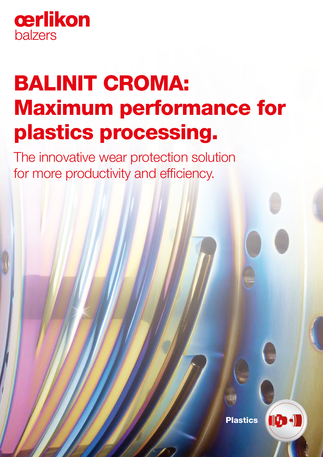

# BALINIT CROMA: Maximum performance for plastics processing.

The innovative wear protection solution for more productivity and efficiency.

Plastics

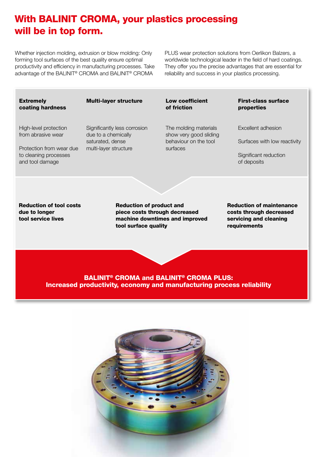# With BALINIT CROMA, your plastics processing will be in top form.

Whether injection molding, extrusion or blow molding: Only forming tool surfaces of the best quality ensure optimal productivity and efficiency in manufacturing processes. Take advantage of the BALINIT® CROMA and BALINIT® CROMA

PLUS wear protection solutions from Oerlikon Balzers, a worldwide technological leader in the field of hard coatings. They offer you the precise advantages that are essential for reliability and success in your plastics processing.

Reduction of tool costs due to longer tool service lives Reduction of product and piece costs through decreased machine downtimes and improved tool surface quality Reduction of maintenance costs through decreased servicing and cleaning **requirements** Multi-layer structure Significantly less corrosion due to a chemically saturated, dense multi-layer structure Low coefficient of friction The molding materials show very good sliding behaviour on the tool surfaces **Extremely** coating hardness High-level protection from abrasive wear Protection from wear due to cleaning processes and tool damage First-class surface properties Excellent adhesion Surfaces with low reactivity Significant reduction of deposits

BALINIT® CROMA and BALINIT® CROMA PLUS: Increased productivity, economy and manufacturing process reliability

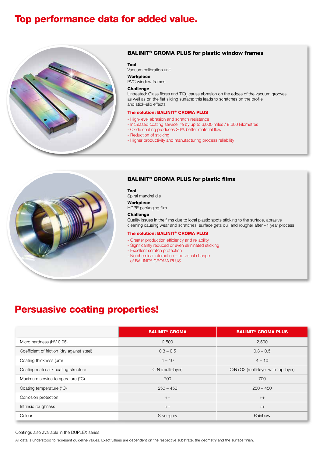# Top performance data for added value.



## BALINIT® CROMA PLUS for plastic window frames

#### Tool

Vacuum calibration unit

# Workpiece

PVC window frames

#### **Challenge**

Untreated: Glass fibres and  $TiO_2$  cause abrasion on the edges of the vacuum grooves as well as on the flat sliding surface; this leads to scratches on the profile and stick-slip effects

#### The solution: BALINIT® CROMA PLUS

- High-level abrasion and scratch resistance
- Increased coating service life by up to 6,000 miles / 9.600 kilometres
- Oxide coating produces 30% better material flow
- Reduction of sticking
- Higher productivity and manufacturing process reliability



# BALINIT® CROMA PLUS for plastic films

Tool Spiral mandrel die

# Workpiece

HDPE packaging film

#### Challenge

Quality issues in the films due to local plastic spots sticking to the surface, abrasive cleaning causing wear and scratches, surface gets dull and rougher after ~1 year process

## The solution: BALINIT® CROMA PLUS

- Greater production efficiency and reliability
- Significantly reduced or even eliminated sticking
- Excellent scratch protection
- No chemical interaction no visual change of BALINIT® CROMA PLUS

# Persuasive coating properties!

|                                             | <b>BALINIT<sup>®</sup> CROMA</b> | <b>BALINIT<sup>®</sup> CROMA PLUS</b> |
|---------------------------------------------|----------------------------------|---------------------------------------|
| Micro hardness (HV 0.05)                    | 2,500                            | 2,500                                 |
| Coefficient of friction (dry against steel) | $0.3 - 0.5$                      | $0.3 - 0.5$                           |
| Coating thickness (um)                      | $4 - 10$                         | $4 - 10$                              |
| Coating material / coating structure        | CrN (multi-layer)                | CrN+OX (multi-layer with top layer)   |
| Maximum service temperature (°C)            | 700                              | 700                                   |
| Coating temperature (°C)                    | $250 - 450$                      | $250 - 450$                           |
| Corrosion protection                        | $++$                             | $++$                                  |
| Intrinsic roughness                         | $++$                             | $++$                                  |
| Colour                                      | Silver-grey                      | Rainbow                               |

Coatings also available in the DUPLEX series.

All data is understood to represent guideline values. Exact values are dependent on the respective substrate, the geometry and the surface finish.